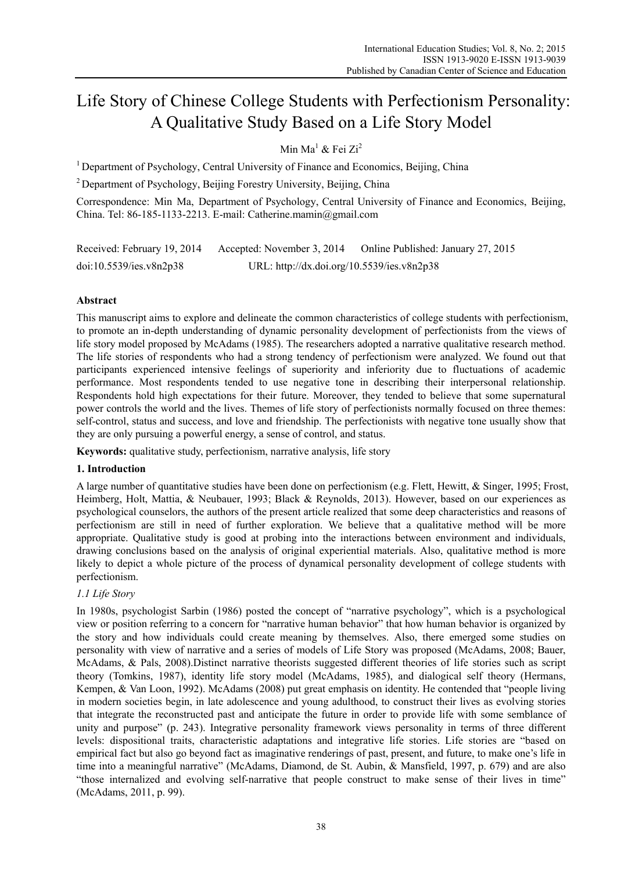# Life Story of Chinese College Students with Perfectionism Personality: A Qualitative Study Based on a Life Story Model

Min Ma<sup>1</sup> & Fei Zi<sup>2</sup>

<sup>1</sup> Department of Psychology, Central University of Finance and Economics, Beijing, China

<sup>2</sup> Department of Psychology, Beijing Forestry University, Beijing, China

Correspondence: Min Ma, Department of Psychology, Central University of Finance and Economics, Beijing, China. Tel: 86-185-1133-2213. E-mail: Catherine.mamin@gmail.com

| Received: February 19, 2014 | Accepted: November 3, 2014                 | Online Published: January 27, 2015 |
|-----------------------------|--------------------------------------------|------------------------------------|
| doi:10.5539/ies.v8n2p38     | URL: http://dx.doi.org/10.5539/ies.v8n2p38 |                                    |

## **Abstract**

This manuscript aims to explore and delineate the common characteristics of college students with perfectionism, to promote an in-depth understanding of dynamic personality development of perfectionists from the views of life story model proposed by McAdams (1985). The researchers adopted a narrative qualitative research method. The life stories of respondents who had a strong tendency of perfectionism were analyzed. We found out that participants experienced intensive feelings of superiority and inferiority due to fluctuations of academic performance. Most respondents tended to use negative tone in describing their interpersonal relationship. Respondents hold high expectations for their future. Moreover, they tended to believe that some supernatural power controls the world and the lives. Themes of life story of perfectionists normally focused on three themes: self-control, status and success, and love and friendship. The perfectionists with negative tone usually show that they are only pursuing a powerful energy, a sense of control, and status.

**Keywords:** qualitative study, perfectionism, narrative analysis, life story

## **1. Introduction**

A large number of quantitative studies have been done on perfectionism (e.g. Flett, Hewitt, & Singer, 1995; Frost, Heimberg, Holt, Mattia, & Neubauer, 1993; Black & Reynolds, 2013). However, based on our experiences as psychological counselors, the authors of the present article realized that some deep characteristics and reasons of perfectionism are still in need of further exploration. We believe that a qualitative method will be more appropriate. Qualitative study is good at probing into the interactions between environment and individuals, drawing conclusions based on the analysis of original experiential materials. Also, qualitative method is more likely to depict a whole picture of the process of dynamical personality development of college students with perfectionism.

## *1.1 Life Story*

In 1980s, psychologist Sarbin (1986) posted the concept of "narrative psychology", which is a psychological view or position referring to a concern for "narrative human behavior" that how human behavior is organized by the story and how individuals could create meaning by themselves. Also, there emerged some studies on personality with view of narrative and a series of models of Life Story was proposed (McAdams, 2008; Bauer, McAdams, & Pals, 2008).Distinct narrative theorists suggested different theories of life stories such as script theory (Tomkins, 1987), identity life story model (McAdams, 1985), and dialogical self theory (Hermans, Kempen, & Van Loon, 1992). McAdams (2008) put great emphasis on identity. He contended that "people living in modern societies begin, in late adolescence and young adulthood, to construct their lives as evolving stories that integrate the reconstructed past and anticipate the future in order to provide life with some semblance of unity and purpose" (p. 243). Integrative personality framework views personality in terms of three different levels: dispositional traits, characteristic adaptations and integrative life stories. Life stories are "based on empirical fact but also go beyond fact as imaginative renderings of past, present, and future, to make one's life in time into a meaningful narrative" (McAdams, Diamond, de St. Aubin, & Mansfield, 1997, p. 679) and are also "those internalized and evolving self-narrative that people construct to make sense of their lives in time" (McAdams, 2011, p. 99).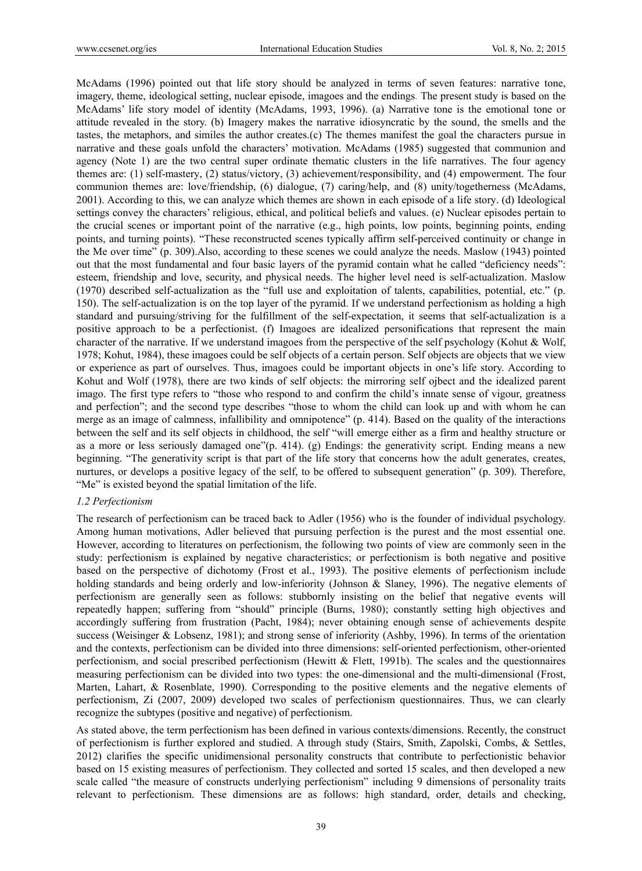McAdams (1996) pointed out that life story should be analyzed in terms of seven features: narrative tone, imagery, theme, ideological setting, nuclear episode, imagoes and the endings. The present study is based on the McAdams' life story model of identity (McAdams, 1993, 1996). (a) Narrative tone is the emotional tone or attitude revealed in the story. (b) Imagery makes the narrative idiosyncratic by the sound, the smells and the tastes, the metaphors, and similes the author creates.(c) The themes manifest the goal the characters pursue in narrative and these goals unfold the characters' motivation. McAdams (1985) suggested that communion and agency (Note 1) are the two central super ordinate thematic clusters in the life narratives. The four agency themes are: (1) self-mastery, (2) status/victory, (3) achievement/responsibility, and (4) empowerment. The four communion themes are: love/friendship, (6) dialogue, (7) caring/help, and (8) unity/togetherness (McAdams, 2001). According to this, we can analyze which themes are shown in each episode of a life story. (d) Ideological settings convey the characters' religious, ethical, and political beliefs and values. (e) Nuclear episodes pertain to the crucial scenes or important point of the narrative (e.g., high points, low points, beginning points, ending points, and turning points). "These reconstructed scenes typically affirm self-perceived continuity or change in the Me over time" (p. 309).Also, according to these scenes we could analyze the needs. Maslow (1943) pointed out that the most fundamental and four basic layers of the pyramid contain what he called "deficiency needs": esteem, friendship and love, security, and physical needs. The higher level need is self-actualization. Maslow (1970) described self-actualization as the "full use and exploitation of talents, capabilities, potential, etc." (p. 150). The self-actualization is on the top layer of the pyramid. If we understand perfectionism as holding a high standard and pursuing/striving for the fulfillment of the self-expectation, it seems that self-actualization is a positive approach to be a perfectionist. (f) Imagoes are idealized personifications that represent the main character of the narrative. If we understand imagoes from the perspective of the self psychology (Kohut & Wolf, 1978; Kohut, 1984), these imagoes could be self objects of a certain person. Self objects are objects that we view or experience as part of ourselves. Thus, imagoes could be important objects in one's life story. According to Kohut and Wolf (1978), there are two kinds of self objects: the mirroring self ojbect and the idealized parent imago. The first type refers to "those who respond to and confirm the child's innate sense of vigour, greatness and perfection"; and the second type describes "those to whom the child can look up and with whom he can merge as an image of calmness, infallibility and omnipotence" (p. 414). Based on the quality of the interactions between the self and its self objects in childhood, the self "will emerge either as a firm and healthy structure or as a more or less seriously damaged one"(p. 414). (g) Endings: the generativity script. Ending means a new beginning. "The generativity script is that part of the life story that concerns how the adult generates, creates, nurtures, or develops a positive legacy of the self, to be offered to subsequent generation" (p. 309). Therefore, "Me" is existed beyond the spatial limitation of the life.

#### *1.2 Perfectionism*

The research of perfectionism can be traced back to Adler (1956) who is the founder of individual psychology. Among human motivations, Adler believed that pursuing perfection is the purest and the most essential one. However, according to literatures on perfectionism, the following two points of view are commonly seen in the study: perfectionism is explained by negative characteristics; or perfectionism is both negative and positive based on the perspective of dichotomy (Frost et al., 1993). The positive elements of perfectionism include holding standards and being orderly and low-inferiority (Johnson & Slaney, 1996). The negative elements of perfectionism are generally seen as follows: stubbornly insisting on the belief that negative events will repeatedly happen; suffering from "should" principle (Burns, 1980); constantly setting high objectives and accordingly suffering from frustration (Pacht, 1984); never obtaining enough sense of achievements despite success (Weisinger & Lobsenz, 1981); and strong sense of inferiority (Ashby, 1996). In terms of the orientation and the contexts, perfectionism can be divided into three dimensions: self-oriented perfectionism, other-oriented perfectionism, and social prescribed perfectionism (Hewitt & Flett, 1991b). The scales and the questionnaires measuring perfectionism can be divided into two types: the one-dimensional and the multi-dimensional (Frost, Marten, Lahart, & Rosenblate, 1990). Corresponding to the positive elements and the negative elements of perfectionism, Zi (2007, 2009) developed two scales of perfectionism questionnaires. Thus, we can clearly recognize the subtypes (positive and negative) of perfectionism.

As stated above, the term perfectionism has been defined in various contexts/dimensions. Recently, the construct of perfectionism is further explored and studied. A through study (Stairs, Smith, Zapolski, Combs, & Settles, 2012) clarifies the specific unidimensional personality constructs that contribute to perfectionistic behavior based on 15 existing measures of perfectionism. They collected and sorted 15 scales, and then developed a new scale called "the measure of constructs underlying perfectionism" including 9 dimensions of personality traits relevant to perfectionism. These dimensions are as follows: high standard, order, details and checking,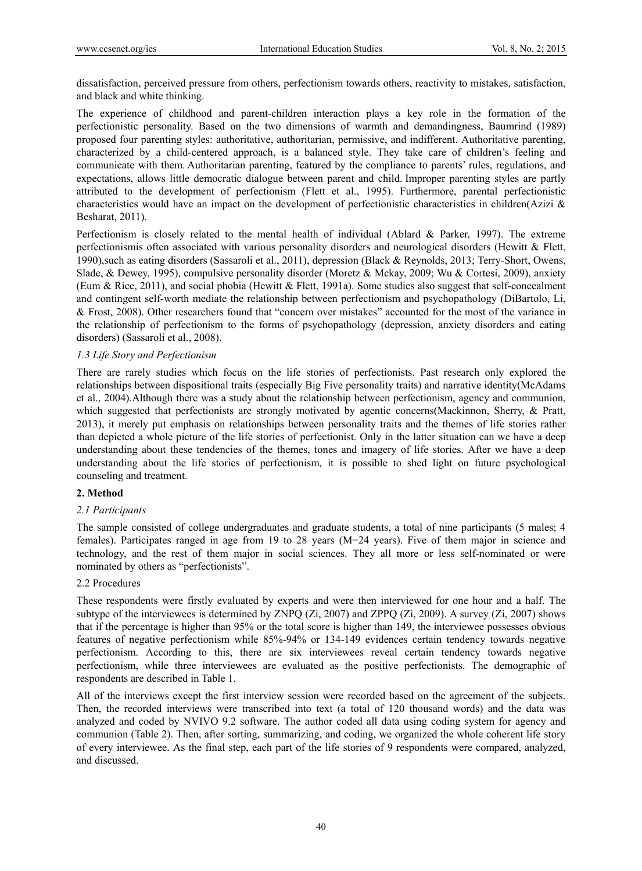dissatisfaction, perceived pressure from others, perfectionism towards others, reactivity to mistakes, satisfaction, and black and white thinking.

The experience of childhood and parent-children interaction plays a key role in the formation of the perfectionistic personality. Based on the two dimensions of warmth and demandingness, Baumrind (1989) proposed four parenting styles: authoritative, authoritarian, permissive, and indifferent. Authoritative parenting, characterized by a child-centered approach, is a balanced style. They take care of children's feeling and communicate with them. Authoritarian parenting, featured by the compliance to parents' rules, regulations, and expectations, allows little democratic dialogue between parent and child. Improper parenting styles are partly attributed to the development of perfectionism (Flett et al., 1995). Furthermore, parental perfectionistic characteristics would have an impact on the development of perfectionistic characteristics in children(Azizi  $\&$ Besharat, 2011).

Perfectionism is closely related to the mental health of individual (Ablard & Parker, 1997). The extreme perfectionismis often associated with various personality disorders and neurological disorders (Hewitt & Flett, 1990),such as eating disorders (Sassaroli et al., 2011), depression (Black & Reynolds, 2013; Terry-Short, Owens, Slade, & Dewey, 1995), compulsive personality disorder (Moretz & Mckay, 2009; Wu & Cortesi, 2009), anxiety (Eum & Rice, 2011), and social phobia (Hewitt & Flett, 1991a). Some studies also suggest that self-concealment and contingent self-worth mediate the relationship between perfectionism and psychopathology (DiBartolo, Li, & Frost, 2008). Other researchers found that "concern over mistakes" accounted for the most of the variance in the relationship of perfectionism to the forms of psychopathology (depression, anxiety disorders and eating disorders) (Sassaroli et al., 2008).

## *1.3 Life Story and Perfectionism*

There are rarely studies which focus on the life stories of perfectionists. Past research only explored the relationships between dispositional traits (especially Big Five personality traits) and narrative identity(McAdams et al., 2004).Although there was a study about the relationship between perfectionism, agency and communion, which suggested that perfectionists are strongly motivated by agentic concerns(Mackinnon, Sherry, & Pratt, 2013), it merely put emphasis on relationships between personality traits and the themes of life stories rather than depicted a whole picture of the life stories of perfectionist. Only in the latter situation can we have a deep understanding about these tendencies of the themes, tones and imagery of life stories. After we have a deep understanding about the life stories of perfectionism, it is possible to shed light on future psychological counseling and treatment.

## **2. Method**

## *2.1 Participants*

The sample consisted of college undergraduates and graduate students, a total of nine participants (5 males; 4 females). Participates ranged in age from 19 to 28 years (M=24 years). Five of them major in science and technology, and the rest of them major in social sciences. They all more or less self-nominated or were nominated by others as "perfectionists".

## 2.2 Procedures

These respondents were firstly evaluated by experts and were then interviewed for one hour and a half. The subtype of the interviewees is determined by ZNPQ (Zi, 2007) and ZPPQ (Zi, 2009). A survey (Zi, 2007) shows that if the percentage is higher than 95% or the total score is higher than 149, the interviewee possesses obvious features of negative perfectionism while 85%-94% or 134-149 evidences certain tendency towards negative perfectionism. According to this, there are six interviewees reveal certain tendency towards negative perfectionism, while three interviewees are evaluated as the positive perfectionists. The demographic of respondents are described in Table 1.

All of the interviews except the first interview session were recorded based on the agreement of the subjects. Then, the recorded interviews were transcribed into text (a total of 120 thousand words) and the data was analyzed and coded by NVIVO 9.2 software. The author coded all data using coding system for agency and communion (Table 2). Then, after sorting, summarizing, and coding, we organized the whole coherent life story of every interviewee. As the final step, each part of the life stories of 9 respondents were compared, analyzed, and discussed.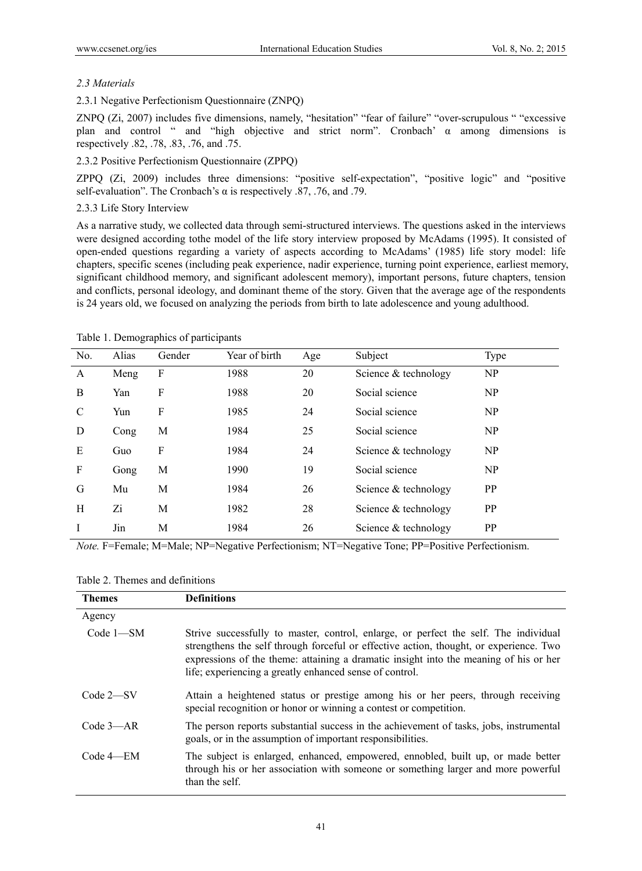## *2.3 Materials*

## 2.3.1 Negative Perfectionism Questionnaire (ZNPQ)

ZNPQ (Zi, 2007) includes five dimensions, namely, "hesitation" "fear of failure" "over-scrupulous " "excessive plan and control " and "high objective and strict norm". Cronbach'  $\alpha$  among dimensions is respectively .82, .78, .83, .76, and .75.

## 2.3.2 Positive Perfectionism Questionnaire (ZPPQ)

ZPPQ (Zi, 2009) includes three dimensions: "positive self-expectation", "positive logic" and "positive self-evaluation". The Cronbach's  $\alpha$  is respectively .87, .76, and .79.

## 2.3.3 Life Story Interview

As a narrative study, we collected data through semi-structured interviews. The questions asked in the interviews were designed according tothe model of the life story interview proposed by McAdams (1995). It consisted of open-ended questions regarding a variety of aspects according to McAdams' (1985) life story model: life chapters, specific scenes (including peak experience, nadir experience, turning point experience, earliest memory, significant childhood memory, and significant adolescent memory), important persons, future chapters, tension and conflicts, personal ideology, and dominant theme of the story. Given that the average age of the respondents is 24 years old, we focused on analyzing the periods from birth to late adolescence and young adulthood.

| No.           | Alias | Gender | Year of birth | Age | Subject              | Type           |  |  |
|---------------|-------|--------|---------------|-----|----------------------|----------------|--|--|
| A             | Meng  | F      | 1988          | 20  | Science & technology | NP             |  |  |
| B             | Yan   | F      | 1988          | 20  | Social science       | N <sub>P</sub> |  |  |
| $\mathcal{C}$ | Yun   | F      | 1985          | 24  | Social science       | N <sub>P</sub> |  |  |
| D             | Cong  | M      | 1984          | 25  | Social science       | NP             |  |  |
| E             | Guo   | F      | 1984          | 24  | Science & technology | N <sub>P</sub> |  |  |
| F             | Gong  | М      | 1990          | 19  | Social science       | <b>NP</b>      |  |  |
| G             | Mu    | М      | 1984          | 26  | Science & technology | <b>PP</b>      |  |  |
| H             | Zi    | М      | 1982          | 28  | Science & technology | <b>PP</b>      |  |  |
| I             | Jin   | М      | 1984          | 26  | Science & technology | <b>PP</b>      |  |  |

Table 1. Demographics of participants

*Note.* F=Female; M=Male; NP=Negative Perfectionism; NT=Negative Tone; PP=Positive Perfectionism.

#### Table 2. Themes and definitions

| <b>Themes</b> | <b>Definitions</b>                                                                                                                                                                                                                                                                                                                 |
|---------------|------------------------------------------------------------------------------------------------------------------------------------------------------------------------------------------------------------------------------------------------------------------------------------------------------------------------------------|
| Agency        |                                                                                                                                                                                                                                                                                                                                    |
| $Code 1 - SM$ | Strive successfully to master, control, enlarge, or perfect the self. The individual<br>strengthens the self through forceful or effective action, thought, or experience. Two<br>expressions of the theme: attaining a dramatic insight into the meaning of his or her<br>life; experiencing a greatly enhanced sense of control. |
| $Code 2-SV$   | Attain a heightened status or prestige among his or her peers, through receiving<br>special recognition or honor or winning a contest or competition.                                                                                                                                                                              |
| $Code 3-AR$   | The person reports substantial success in the achievement of tasks, jobs, instrumental<br>goals, or in the assumption of important responsibilities.                                                                                                                                                                               |
| Code 4—EM     | The subject is enlarged, enhanced, empowered, ennobled, built up, or made better<br>through his or her association with someone or something larger and more powerful<br>than the self.                                                                                                                                            |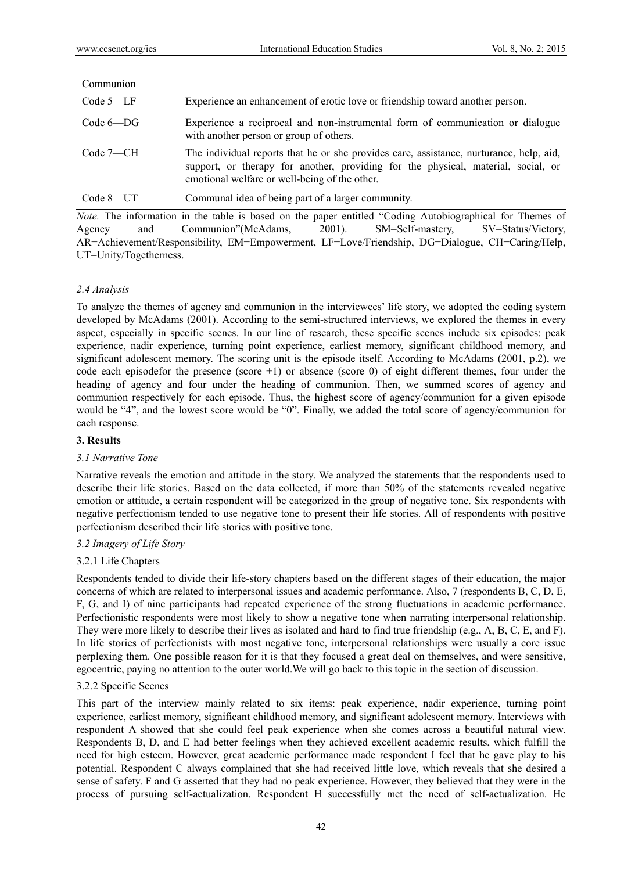| Communion     |                                                                                                                                                                                                                               |
|---------------|-------------------------------------------------------------------------------------------------------------------------------------------------------------------------------------------------------------------------------|
| $Code 5-LF$   | Experience an enhancement of erotic love or friendship toward another person.                                                                                                                                                 |
| $Code 6-DG$   | Experience a reciprocal and non-instrumental form of communication or dialogue<br>with another person or group of others.                                                                                                     |
| $Code 7 - CH$ | The individual reports that he or she provides care, assistance, nurturance, help, aid,<br>support, or therapy for another, providing for the physical, material, social, or<br>emotional welfare or well-being of the other. |
| Code 8—UT     | Communal idea of being part of a larger community.                                                                                                                                                                            |

*Note.* The information in the table is based on the paper entitled "Coding Autobiographical for Themes of Agency and Communion"(McAdams, 2001). SM=Self-mastery, SV=Status/Victory, AR=Achievement/Responsibility, EM=Empowerment, LF=Love/Friendship, DG=Dialogue, CH=Caring/Help, UT=Unity/Togetherness.

## *2.4 Analysis*

To analyze the themes of agency and communion in the interviewees' life story, we adopted the coding system developed by McAdams (2001). According to the semi-structured interviews, we explored the themes in every aspect, especially in specific scenes. In our line of research, these specific scenes include six episodes: peak experience, nadir experience, turning point experience, earliest memory, significant childhood memory, and significant adolescent memory. The scoring unit is the episode itself. According to McAdams (2001, p.2), we code each episodefor the presence (score  $+1$ ) or absence (score 0) of eight different themes, four under the heading of agency and four under the heading of communion. Then, we summed scores of agency and communion respectively for each episode. Thus, the highest score of agency/communion for a given episode would be "4", and the lowest score would be "0". Finally, we added the total score of agency/communion for each response.

#### **3. Results**

#### *3.1 Narrative Tone*

Narrative reveals the emotion and attitude in the story. We analyzed the statements that the respondents used to describe their life stories. Based on the data collected, if more than 50% of the statements revealed negative emotion or attitude, a certain respondent will be categorized in the group of negative tone. Six respondents with negative perfectionism tended to use negative tone to present their life stories. All of respondents with positive perfectionism described their life stories with positive tone.

#### *3.2 Imagery of Life Story*

## 3.2.1 Life Chapters

Respondents tended to divide their life-story chapters based on the different stages of their education, the major concerns of which are related to interpersonal issues and academic performance. Also, 7 (respondents B, C, D, E, F, G, and I) of nine participants had repeated experience of the strong fluctuations in academic performance. Perfectionistic respondents were most likely to show a negative tone when narrating interpersonal relationship. They were more likely to describe their lives as isolated and hard to find true friendship (e.g., A, B, C, E, and F). In life stories of perfectionists with most negative tone, interpersonal relationships were usually a core issue perplexing them. One possible reason for it is that they focused a great deal on themselves, and were sensitive, egocentric, paying no attention to the outer world.We will go back to this topic in the section of discussion.

#### 3.2.2 Specific Scenes

This part of the interview mainly related to six items: peak experience, nadir experience, turning point experience, earliest memory, significant childhood memory, and significant adolescent memory. Interviews with respondent A showed that she could feel peak experience when she comes across a beautiful natural view. Respondents B, D, and E had better feelings when they achieved excellent academic results, which fulfill the need for high esteem. However, great academic performance made respondent I feel that he gave play to his potential. Respondent C always complained that she had received little love, which reveals that she desired a sense of safety. F and G asserted that they had no peak experience. However, they believed that they were in the process of pursuing self-actualization. Respondent H successfully met the need of self-actualization. He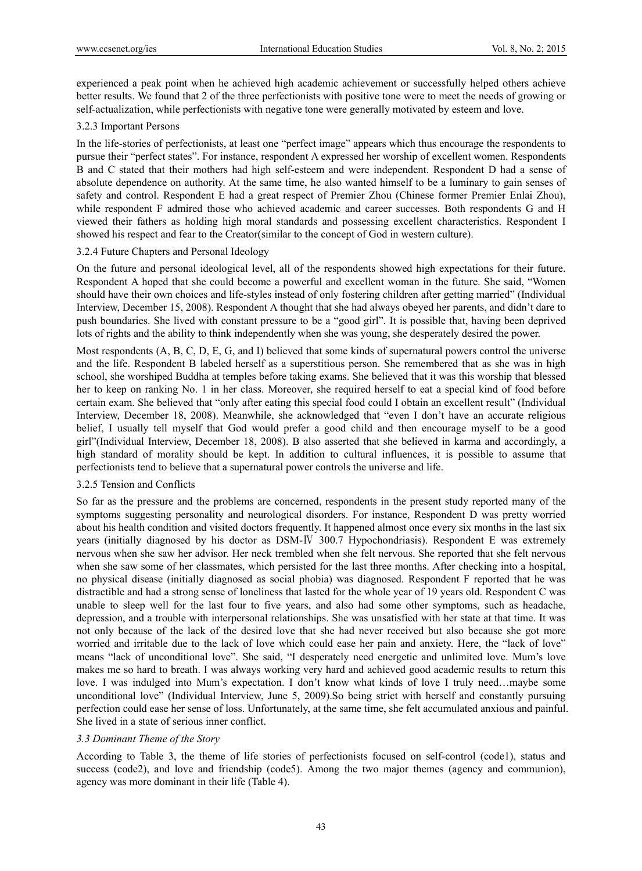experienced a peak point when he achieved high academic achievement or successfully helped others achieve better results. We found that 2 of the three perfectionists with positive tone were to meet the needs of growing or self-actualization, while perfectionists with negative tone were generally motivated by esteem and love.

## 3.2.3 Important Persons

In the life-stories of perfectionists, at least one "perfect image" appears which thus encourage the respondents to pursue their "perfect states". For instance, respondent A expressed her worship of excellent women. Respondents B and C stated that their mothers had high self-esteem and were independent. Respondent D had a sense of absolute dependence on authority. At the same time, he also wanted himself to be a luminary to gain senses of safety and control. Respondent E had a great respect of Premier Zhou (Chinese former Premier Enlai Zhou), while respondent F admired those who achieved academic and career successes. Both respondents G and H viewed their fathers as holding high moral standards and possessing excellent characteristics. Respondent I showed his respect and fear to the Creator(similar to the concept of God in western culture).

## 3.2.4 Future Chapters and Personal Ideology

On the future and personal ideological level, all of the respondents showed high expectations for their future. Respondent A hoped that she could become a powerful and excellent woman in the future. She said, "Women should have their own choices and life-styles instead of only fostering children after getting married" (Individual Interview, December 15, 2008). Respondent A thought that she had always obeyed her parents, and didn't dare to push boundaries. She lived with constant pressure to be a "good girl". It is possible that, having been deprived lots of rights and the ability to think independently when she was young, she desperately desired the power.

Most respondents (A, B, C, D, E, G, and I) believed that some kinds of supernatural powers control the universe and the life. Respondent B labeled herself as a superstitious person. She remembered that as she was in high school, she worshiped Buddha at temples before taking exams. She believed that it was this worship that blessed her to keep on ranking No. 1 in her class. Moreover, she required herself to eat a special kind of food before certain exam. She believed that "only after eating this special food could I obtain an excellent result" (Individual Interview, December 18, 2008). Meanwhile, she acknowledged that "even I don't have an accurate religious belief, I usually tell myself that God would prefer a good child and then encourage myself to be a good girl"(Individual Interview, December 18, 2008). B also asserted that she believed in karma and accordingly, a high standard of morality should be kept. In addition to cultural influences, it is possible to assume that perfectionists tend to believe that a supernatural power controls the universe and life.

## 3.2.5 Tension and Conflicts

So far as the pressure and the problems are concerned, respondents in the present study reported many of the symptoms suggesting personality and neurological disorders. For instance, Respondent D was pretty worried about his health condition and visited doctors frequently. It happened almost once every six months in the last six years (initially diagnosed by his doctor as DSM-Ⅳ 300.7 Hypochondriasis). Respondent E was extremely nervous when she saw her advisor. Her neck trembled when she felt nervous. She reported that she felt nervous when she saw some of her classmates, which persisted for the last three months. After checking into a hospital, no physical disease (initially diagnosed as social phobia) was diagnosed. Respondent F reported that he was distractible and had a strong sense of loneliness that lasted for the whole year of 19 years old. Respondent C was unable to sleep well for the last four to five years, and also had some other symptoms, such as headache, depression, and a trouble with interpersonal relationships. She was unsatisfied with her state at that time. It was not only because of the lack of the desired love that she had never received but also because she got more worried and irritable due to the lack of love which could ease her pain and anxiety. Here, the "lack of love" means "lack of unconditional love". She said, "I desperately need energetic and unlimited love. Mum's love makes me so hard to breath. I was always working very hard and achieved good academic results to return this love. I was indulged into Mum's expectation. I don't know what kinds of love I truly need…maybe some unconditional love" (Individual Interview, June 5, 2009).So being strict with herself and constantly pursuing perfection could ease her sense of loss. Unfortunately, at the same time, she felt accumulated anxious and painful. She lived in a state of serious inner conflict.

## *3.3 Dominant Theme of the Story*

According to Table 3, the theme of life stories of perfectionists focused on self-control (code1), status and success (code2), and love and friendship (code5). Among the two major themes (agency and communion), agency was more dominant in their life (Table 4).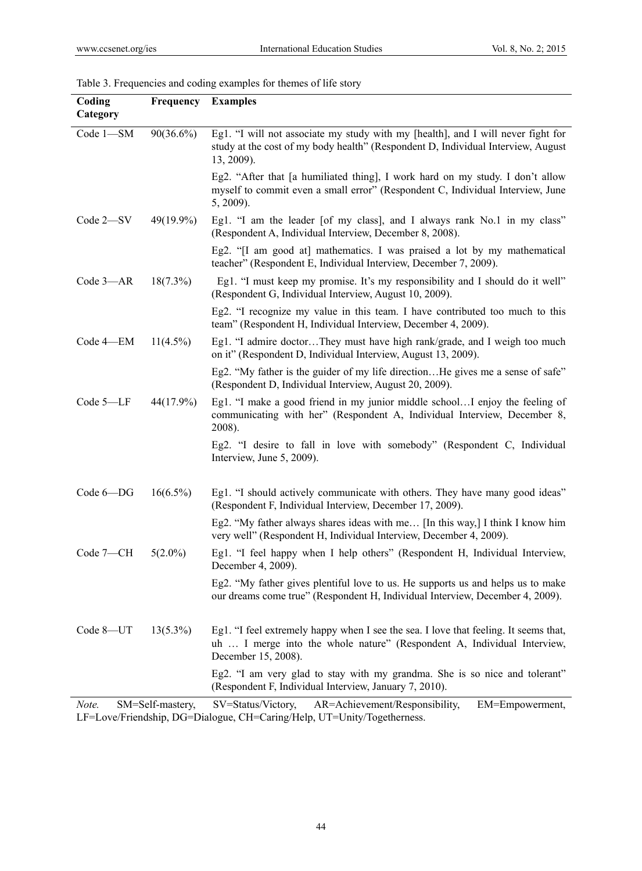## Table 3. Frequencies and coding examples for themes of life story

| Eg1. "I will not associate my study with my [health], and I will never fight for<br>$90(36.6\%)$<br>Code 1-SM<br>study at the cost of my body health" (Respondent D, Individual Interview, August<br>13, 2009).    |  |
|--------------------------------------------------------------------------------------------------------------------------------------------------------------------------------------------------------------------|--|
| Eg2. "After that [a humiliated thing], I work hard on my study. I don't allow<br>myself to commit even a small error" (Respondent C, Individual Interview, June<br>5, 2009).                                       |  |
| Eg1. "I am the leader [of my class], and I always rank No.1 in my class"<br>Code 2-SV<br>$49(19.9\%)$<br>(Respondent A, Individual Interview, December 8, 2008).                                                   |  |
| Eg2. "[I am good at] mathematics. I was praised a lot by my mathematical<br>teacher" (Respondent E, Individual Interview, December 7, 2009).                                                                       |  |
| Code 3-AR<br>$18(7.3\%)$<br>Eg1. "I must keep my promise. It's my responsibility and I should do it well"<br>(Respondent G, Individual Interview, August 10, 2009).                                                |  |
| Eg2. "I recognize my value in this team. I have contributed too much to this<br>team" (Respondent H, Individual Interview, December 4, 2009).                                                                      |  |
| Code 4-EM<br>$11(4.5\%)$<br>Eg1. "I admire doctorThey must have high rank/grade, and I weigh too much<br>on it" (Respondent D, Individual Interview, August 13, 2009).                                             |  |
| Eg2. "My father is the guider of my life directionHe gives me a sense of safe"<br>(Respondent D, Individual Interview, August 20, 2009).                                                                           |  |
| Code 5-LF<br>Eg1. "I make a good friend in my junior middle schoolI enjoy the feeling of<br>44(17.9%)<br>communicating with her" (Respondent A, Individual Interview, December 8,<br>2008).                        |  |
| Eg2. "I desire to fall in love with somebody" (Respondent C, Individual<br>Interview, June 5, 2009).                                                                                                               |  |
| Eg1. "I should actively communicate with others. They have many good ideas"<br>$Code 6-DG$<br>$16(6.5\%)$<br>(Respondent F, Individual Interview, December 17, 2009).                                              |  |
| Eg2. "My father always shares ideas with me [In this way,] I think I know him<br>very well" (Respondent H, Individual Interview, December 4, 2009).                                                                |  |
| Eg1. "I feel happy when I help others" (Respondent H, Individual Interview,<br>Code 7-CH<br>$5(2.0\%)$<br>December 4, 2009).                                                                                       |  |
| Eg2. "My father gives plentiful love to us. He supports us and helps us to make<br>our dreams come true" (Respondent H, Individual Interview, December 4, 2009).                                                   |  |
| Code 8-UT<br>Eg1. "I feel extremely happy when I see the sea. I love that feeling. It seems that,<br>$13(5.3\%)$<br>uh  I merge into the whole nature" (Respondent A, Individual Interview,<br>December 15, 2008). |  |
| Eg2. "I am very glad to stay with my grandma. She is so nice and tolerant"<br>(Respondent F, Individual Interview, January 7, 2010).<br>$D = \lambda_0$ is increased to $D_0$ and $D_1$                            |  |

*Note.* SM=Self-mastery, SV=Status/Victory, AR=Achievement/Responsibility, EM=Empowerment, LF=Love/Friendship, DG=Dialogue, CH=Caring/Help, UT=Unity/Togetherness.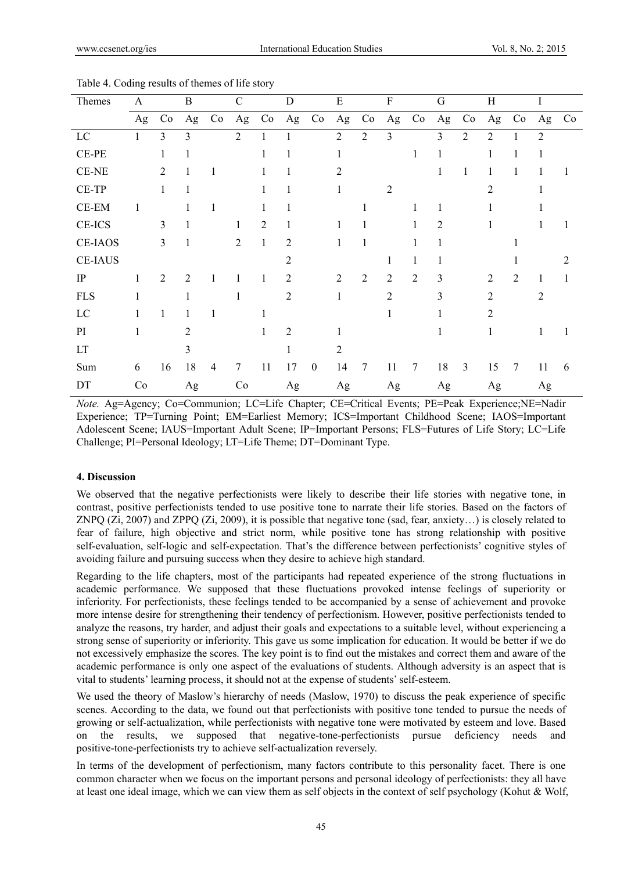| Themes         | A  |                | $\bf{B}$       |                | $\mathcal{C}$  |                | D              |                  | ${\bf E}$      |                | $\mathbf F$             |                | $\mathbf G$    |                | $\,$ H         |                | I              |                |
|----------------|----|----------------|----------------|----------------|----------------|----------------|----------------|------------------|----------------|----------------|-------------------------|----------------|----------------|----------------|----------------|----------------|----------------|----------------|
|                | Ag | Co             | Ag             | Co             | Ag             | Co             | Ag             | Co               | Ag             | Co             | Ag                      | Co             | Ag             | Co             | Ag             | Co             | Ag             | Co             |
| LC             |    | 3              | 3              |                | $\overline{2}$ |                |                |                  | $\overline{2}$ | $\overline{2}$ | $\overline{\mathbf{3}}$ |                | 3              | $\overline{2}$ | 2              |                | $\overline{2}$ |                |
| CE-PE          |    |                |                |                |                |                |                |                  |                |                |                         | 1              |                |                |                |                | 1              |                |
| CE-NE          |    | $\overline{2}$ | 1              | 1              |                |                | 1              |                  | 2              |                |                         |                | $\mathbf{1}$   | 1              | 1              | 1              | 1              |                |
| CE-TP          |    | 1              | 1              |                |                |                | 1              |                  |                |                | $\overline{2}$          |                |                |                | 2              |                |                |                |
| CE-EM          | 1  |                |                | 1              |                |                | 1              |                  |                |                |                         |                | $\mathbf{1}$   |                |                |                |                |                |
| CE-ICS         |    | 3              |                |                |                | $\overline{2}$ |                |                  |                |                |                         |                | $\overline{2}$ |                |                |                |                |                |
| <b>CE-IAOS</b> |    | 3              | 1              |                | $\overline{2}$ |                | $\overline{c}$ |                  |                |                |                         |                |                |                |                |                |                |                |
| <b>CE-IAUS</b> |    |                |                |                |                |                | $\overline{2}$ |                  |                |                | 1                       | 1              |                |                |                |                |                | $\mathfrak{D}$ |
| IP             | 1  | 2              | $\overline{2}$ | 1              |                |                | $\overline{2}$ |                  | $\overline{c}$ | $\overline{2}$ | 2                       | $\overline{2}$ | 3              |                | $\overline{2}$ | $\overline{2}$ | 1              |                |
| <b>FLS</b>     |    |                |                |                |                |                | $\overline{2}$ |                  |                |                | 2                       |                | 3              |                | $\overline{2}$ |                | $\overline{2}$ |                |
| LC             |    |                |                | 1              |                |                |                |                  |                |                |                         |                |                |                | $\mathfrak{D}$ |                |                |                |
| PI             | 1  |                | $\overline{2}$ |                |                |                | $\overline{2}$ |                  |                |                |                         |                |                |                |                |                |                |                |
| LT             |    |                | 3              |                |                |                | 1              |                  | $\overline{2}$ |                |                         |                |                |                |                |                |                |                |
| Sum            | 6  | 16             | 18             | $\overline{4}$ | 7              | 11             | 17             | $\boldsymbol{0}$ | 14             | 7              | 11                      | 7              | 18             | $\overline{3}$ | 15             | 7              | 11             | 6              |
| DT             | Co |                | Ag             |                | Co             |                | Ag             |                  | Ag             |                | Ag                      |                | Ag             |                | Ag             |                | Ag             |                |

Table 4. Coding results of themes of life story

*Note.* Ag=Agency; Co=Communion; LC=Life Chapter; CE=Critical Events; PE=Peak Experience;NE=Nadir Experience; TP=Turning Point; EM=Earliest Memory; ICS=Important Childhood Scene; IAOS=Important Adolescent Scene; IAUS=Important Adult Scene; IP=Important Persons; FLS=Futures of Life Story; LC=Life Challenge; PI=Personal Ideology; LT=Life Theme; DT=Dominant Type.

## **4. Discussion**

We observed that the negative perfectionists were likely to describe their life stories with negative tone, in contrast, positive perfectionists tended to use positive tone to narrate their life stories. Based on the factors of ZNPQ (Zi, 2007) and ZPPQ (Zi, 2009), it is possible that negative tone (sad, fear, anxiety…) is closely related to fear of failure, high objective and strict norm, while positive tone has strong relationship with positive self-evaluation, self-logic and self-expectation. That's the difference between perfectionists' cognitive styles of avoiding failure and pursuing success when they desire to achieve high standard.

Regarding to the life chapters, most of the participants had repeated experience of the strong fluctuations in academic performance. We supposed that these fluctuations provoked intense feelings of superiority or inferiority. For perfectionists, these feelings tended to be accompanied by a sense of achievement and provoke more intense desire for strengthening their tendency of perfectionism. However, positive perfectionists tended to analyze the reasons, try harder, and adjust their goals and expectations to a suitable level, without experiencing a strong sense of superiority or inferiority. This gave us some implication for education. It would be better if we do not excessively emphasize the scores. The key point is to find out the mistakes and correct them and aware of the academic performance is only one aspect of the evaluations of students. Although adversity is an aspect that is vital to students' learning process, it should not at the expense of students' self-esteem.

We used the theory of Maslow's hierarchy of needs (Maslow, 1970) to discuss the peak experience of specific scenes. According to the data, we found out that perfectionists with positive tone tended to pursue the needs of growing or self-actualization, while perfectionists with negative tone were motivated by esteem and love. Based on the results, we supposed that negative-tone-perfectionists pursue deficiency needs and positive-tone-perfectionists try to achieve self-actualization reversely.

In terms of the development of perfectionism, many factors contribute to this personality facet. There is one common character when we focus on the important persons and personal ideology of perfectionists: they all have at least one ideal image, which we can view them as self objects in the context of self psychology (Kohut & Wolf,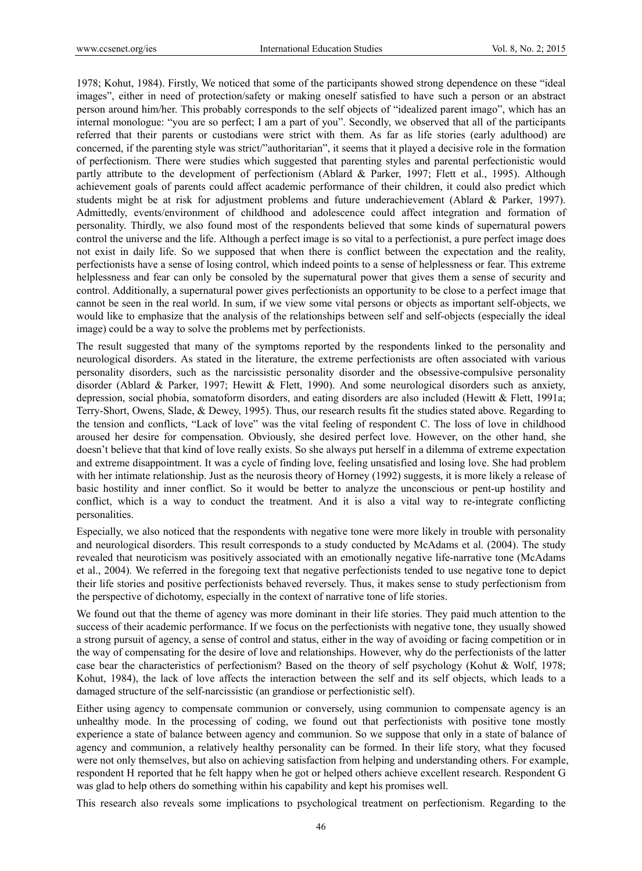1978; Kohut, 1984). Firstly, We noticed that some of the participants showed strong dependence on these "ideal images", either in need of protection/safety or making oneself satisfied to have such a person or an abstract person around him/her. This probably corresponds to the self objects of "idealized parent imago", which has an internal monologue: "you are so perfect; I am a part of you". Secondly, we observed that all of the participants referred that their parents or custodians were strict with them. As far as life stories (early adulthood) are concerned, if the parenting style was strict/"authoritarian", it seems that it played a decisive role in the formation of perfectionism. There were studies which suggested that parenting styles and parental perfectionistic would partly attribute to the development of perfectionism (Ablard & Parker, 1997; Flett et al., 1995). Although achievement goals of parents could affect academic performance of their children, it could also predict which students might be at risk for adjustment problems and future underachievement (Ablard & Parker, 1997). Admittedly, events/environment of childhood and adolescence could affect integration and formation of personality. Thirdly, we also found most of the respondents believed that some kinds of supernatural powers control the universe and the life. Although a perfect image is so vital to a perfectionist, a pure perfect image does not exist in daily life. So we supposed that when there is conflict between the expectation and the reality, perfectionists have a sense of losing control, which indeed points to a sense of helplessness or fear. This extreme helplessness and fear can only be consoled by the supernatural power that gives them a sense of security and control. Additionally, a supernatural power gives perfectionists an opportunity to be close to a perfect image that cannot be seen in the real world. In sum, if we view some vital persons or objects as important self-objects, we would like to emphasize that the analysis of the relationships between self and self-objects (especially the ideal image) could be a way to solve the problems met by perfectionists.

The result suggested that many of the symptoms reported by the respondents linked to the personality and neurological disorders. As stated in the literature, the extreme perfectionists are often associated with various personality disorders, such as the narcissistic personality disorder and the obsessive-compulsive personality disorder (Ablard & Parker, 1997; Hewitt & Flett, 1990). And some neurological disorders such as anxiety, depression, social phobia, somatoform disorders, and eating disorders are also included (Hewitt & Flett, 1991a; Terry-Short, Owens, Slade, & Dewey, 1995). Thus, our research results fit the studies stated above. Regarding to the tension and conflicts, "Lack of love" was the vital feeling of respondent C. The loss of love in childhood aroused her desire for compensation. Obviously, she desired perfect love. However, on the other hand, she doesn't believe that that kind of love really exists. So she always put herself in a dilemma of extreme expectation and extreme disappointment. It was a cycle of finding love, feeling unsatisfied and losing love. She had problem with her intimate relationship. Just as the neurosis theory of Horney (1992) suggests, it is more likely a release of basic hostility and inner conflict. So it would be better to analyze the unconscious or pent-up hostility and conflict, which is a way to conduct the treatment. And it is also a vital way to re-integrate conflicting personalities.

Especially, we also noticed that the respondents with negative tone were more likely in trouble with personality and neurological disorders. This result corresponds to a study conducted by McAdams et al. (2004). The study revealed that neuroticism was positively associated with an emotionally negative life-narrative tone (McAdams et al., 2004). We referred in the foregoing text that negative perfectionists tended to use negative tone to depict their life stories and positive perfectionists behaved reversely. Thus, it makes sense to study perfectionism from the perspective of dichotomy, especially in the context of narrative tone of life stories.

We found out that the theme of agency was more dominant in their life stories. They paid much attention to the success of their academic performance. If we focus on the perfectionists with negative tone, they usually showed a strong pursuit of agency, a sense of control and status, either in the way of avoiding or facing competition or in the way of compensating for the desire of love and relationships. However, why do the perfectionists of the latter case bear the characteristics of perfectionism? Based on the theory of self psychology (Kohut & Wolf, 1978; Kohut, 1984), the lack of love affects the interaction between the self and its self objects, which leads to a damaged structure of the self-narcissistic (an grandiose or perfectionistic self).

Either using agency to compensate communion or conversely, using communion to compensate agency is an unhealthy mode. In the processing of coding, we found out that perfectionists with positive tone mostly experience a state of balance between agency and communion. So we suppose that only in a state of balance of agency and communion, a relatively healthy personality can be formed. In their life story, what they focused were not only themselves, but also on achieving satisfaction from helping and understanding others. For example, respondent H reported that he felt happy when he got or helped others achieve excellent research. Respondent G was glad to help others do something within his capability and kept his promises well.

This research also reveals some implications to psychological treatment on perfectionism. Regarding to the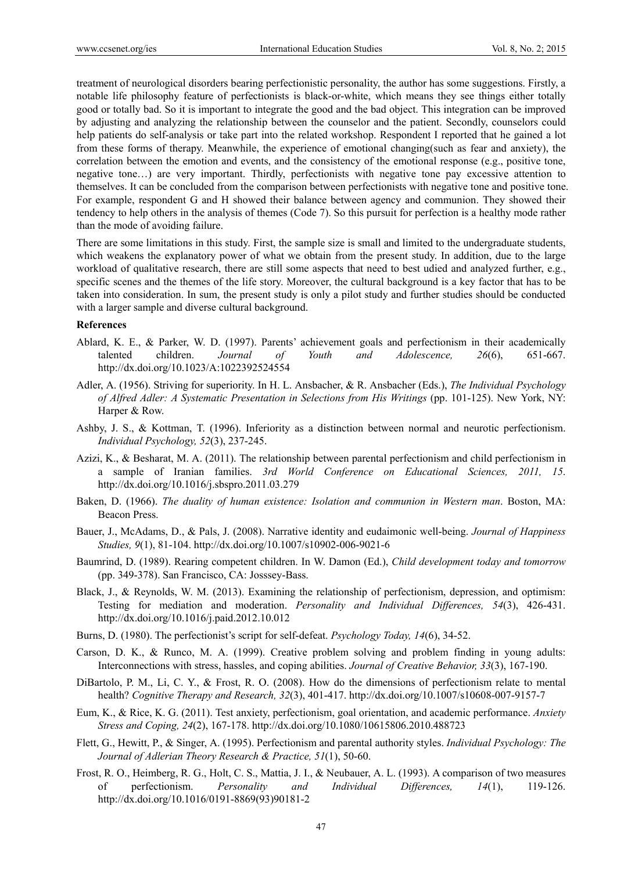treatment of neurological disorders bearing perfectionistic personality, the author has some suggestions. Firstly, a notable life philosophy feature of perfectionists is black-or-white, which means they see things either totally good or totally bad. So it is important to integrate the good and the bad object. This integration can be improved by adjusting and analyzing the relationship between the counselor and the patient. Secondly, counselors could help patients do self-analysis or take part into the related workshop. Respondent I reported that he gained a lot from these forms of therapy. Meanwhile, the experience of emotional changing(such as fear and anxiety), the correlation between the emotion and events, and the consistency of the emotional response (e.g., positive tone, negative tone…) are very important. Thirdly, perfectionists with negative tone pay excessive attention to themselves. It can be concluded from the comparison between perfectionists with negative tone and positive tone. For example, respondent G and H showed their balance between agency and communion. They showed their tendency to help others in the analysis of themes (Code 7). So this pursuit for perfection is a healthy mode rather than the mode of avoiding failure.

There are some limitations in this study. First, the sample size is small and limited to the undergraduate students, which weakens the explanatory power of what we obtain from the present study. In addition, due to the large workload of qualitative research, there are still some aspects that need to best udied and analyzed further, e.g., specific scenes and the themes of the life story. Moreover, the cultural background is a key factor that has to be taken into consideration. In sum, the present study is only a pilot study and further studies should be conducted with a larger sample and diverse cultural background.

#### **References**

- Ablard, K. E., & Parker, W. D. (1997). Parents' achievement goals and perfectionism in their academically talented children. *Journal of Youth and Adolescence, 26*(6), 651-667. http://dx.doi.org/10.1023/A:1022392524554
- Adler, A. (1956). Striving for superiority. In H. L. Ansbacher, & R. Ansbacher (Eds.), *The Individual Psychology*  of Alfred Adler: A Systematic Presentation in Selections from His Writings (pp. 101-125). New York, NY: Harper & Row.
- Ashby, J. S., & Kottman, T. (1996). Inferiority as a distinction between normal and neurotic perfectionism. *Individual Psychology, 52*(3), 237-245.
- Azizi, K., & Besharat, M. A. (2011). The relationship between parental perfectionism and child perfectionism in a sample of Iranian families. *3rd World Conference on Educational Sciences, 2011, 15*. http://dx.doi.org/10.1016/j.sbspro.2011.03.279
- Baken, D. (1966). *The duality of human existence: Isolation and communion in Western man*. Boston, MA: Beacon Press.
- Bauer, J., McAdams, D., & Pals, J. (2008). Narrative identity and eudaimonic well-being. *Journal of Happiness Studies, 9*(1), 81-104. http://dx.doi.org/10.1007/s10902-006-9021-6
- Baumrind, D. (1989). Rearing competent children. In W. Damon (Ed.), *Child development today and tomorrow* (pp. 349-378). San Francisco, CA: Josssey-Bass.
- Black, J., & Reynolds, W. M. (2013). Examining the relationship of perfectionism, depression, and optimism: Testing for mediation and moderation. *Personality and Individual Differences, 54*(3), 426-431. http://dx.doi.org/10.1016/j.paid.2012.10.012
- Burns, D. (1980). The perfectionist's script for self-defeat. *Psychology Today, 14*(6), 34-52.
- Carson, D. K., & Runco, M. A. (1999). Creative problem solving and problem finding in young adults: Interconnections with stress, hassles, and coping abilities. *Journal of Creative Behavior, 33*(3), 167-190.
- DiBartolo, P. M., Li, C. Y., & Frost, R. O. (2008). How do the dimensions of perfectionism relate to mental health? *Cognitive Therapy and Research, 32*(3), 401-417. http://dx.doi.org/10.1007/s10608-007-9157-7
- Eum, K., & Rice, K. G. (2011). Test anxiety, perfectionism, goal orientation, and academic performance. *Anxiety Stress and Coping, 24*(2), 167-178. http://dx.doi.org/10.1080/10615806.2010.488723
- Flett, G., Hewitt, P., & Singer, A. (1995). Perfectionism and parental authority styles. *Individual Psychology: The Journal of Adlerian Theory Research & Practice, 51*(1), 50-60.
- Frost, R. O., Heimberg, R. G., Holt, C. S., Mattia, J. I., & Neubauer, A. L. (1993). A comparison of two measures of perfectionism. *Personality and Individual Differences, 14*(1), 119-126. http://dx.doi.org/10.1016/0191-8869(93)90181-2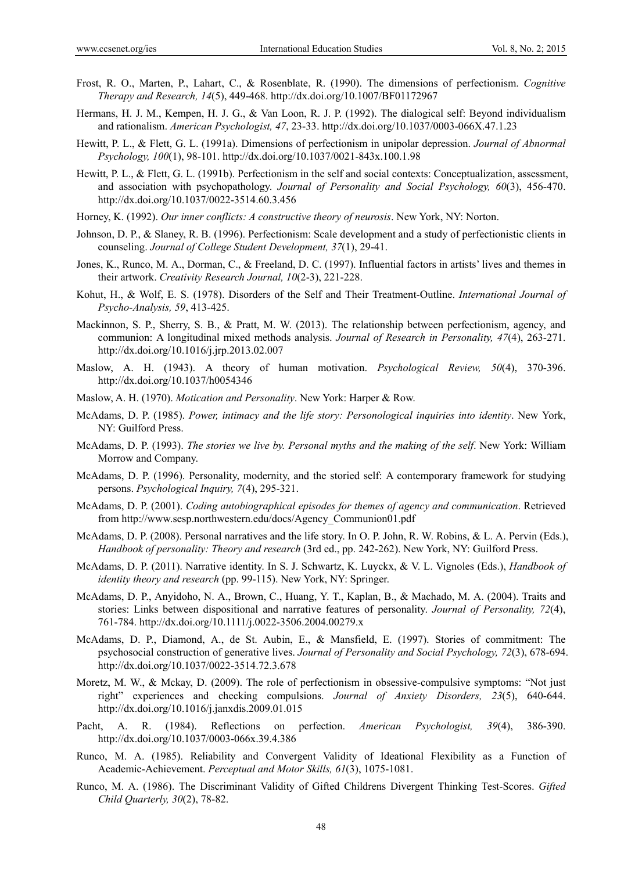- Frost, R. O., Marten, P., Lahart, C., & Rosenblate, R. (1990). The dimensions of perfectionism. *Cognitive Therapy and Research, 14*(5), 449-468. http://dx.doi.org/10.1007/BF01172967
- Hermans, H. J. M., Kempen, H. J. G., & Van Loon, R. J. P. (1992). The dialogical self: Beyond individualism and rationalism. *American Psychologist, 47*, 23-33. http://dx.doi.org/10.1037/0003-066X.47.1.23
- Hewitt, P. L., & Flett, G. L. (1991a). Dimensions of perfectionism in unipolar depression. *Journal of Abnormal Psychology, 100*(1), 98-101. http://dx.doi.org/10.1037/0021-843x.100.1.98
- Hewitt, P. L., & Flett, G. L. (1991b). Perfectionism in the self and social contexts: Conceptualization, assessment, and association with psychopathology. *Journal of Personality and Social Psychology, 60*(3), 456-470. http://dx.doi.org/10.1037/0022-3514.60.3.456
- Horney, K. (1992). *Our inner conflicts: A constructive theory of neurosis*. New York, NY: Norton.
- Johnson, D. P., & Slaney, R. B. (1996). Perfectionism: Scale development and a study of perfectionistic clients in counseling. *Journal of College Student Development, 37*(1), 29-41.
- Jones, K., Runco, M. A., Dorman, C., & Freeland, D. C. (1997). Influential factors in artists' lives and themes in their artwork. *Creativity Research Journal, 10*(2-3), 221-228.
- Kohut, H., & Wolf, E. S. (1978). Disorders of the Self and Their Treatment-Outline. *International Journal of Psycho-Analysis, 59*, 413-425.
- Mackinnon, S. P., Sherry, S. B., & Pratt, M. W. (2013). The relationship between perfectionism, agency, and communion: A longitudinal mixed methods analysis. *Journal of Research in Personality, 47*(4), 263-271. http://dx.doi.org/10.1016/j.jrp.2013.02.007
- Maslow, A. H. (1943). A theory of human motivation. *Psychological Review, 50*(4), 370-396. http://dx.doi.org/10.1037/h0054346
- Maslow, A. H. (1970). *Motication and Personality*. New York: Harper & Row.
- McAdams, D. P. (1985). *Power, intimacy and the life story: Personological inquiries into identity*. New York, NY: Guilford Press.
- McAdams, D. P. (1993). *The stories we live by. Personal myths and the making of the self*. New York: William Morrow and Company.
- McAdams, D. P. (1996). Personality, modernity, and the storied self: A contemporary framework for studying persons. *Psychological Inquiry, 7*(4), 295-321.
- McAdams, D. P. (2001). *Coding autobiographical episodes for themes of agency and communication*. Retrieved from http://www.sesp.northwestern.edu/docs/Agency\_Communion01.pdf
- McAdams, D. P. (2008). Personal narratives and the life story. In O. P. John, R. W. Robins, & L. A. Pervin (Eds.), *Handbook of personality: Theory and research* (3rd ed., pp. 242-262). New York, NY: Guilford Press.
- McAdams, D. P. (2011). Narrative identity. In S. J. Schwartz, K. Luyckx, & V. L. Vignoles (Eds.), *Handbook of identity theory and research* (pp. 99-115). New York, NY: Springer.
- McAdams, D. P., Anyidoho, N. A., Brown, C., Huang, Y. T., Kaplan, B., & Machado, M. A. (2004). Traits and stories: Links between dispositional and narrative features of personality. *Journal of Personality, 72*(4), 761-784. http://dx.doi.org/10.1111/j.0022-3506.2004.00279.x
- McAdams, D. P., Diamond, A., de St. Aubin, E., & Mansfield, E. (1997). Stories of commitment: The psychosocial construction of generative lives. *Journal of Personality and Social Psychology, 72*(3), 678-694. http://dx.doi.org/10.1037/0022-3514.72.3.678
- Moretz, M. W., & Mckay, D. (2009). The role of perfectionism in obsessive-compulsive symptoms: "Not just right" experiences and checking compulsions. *Journal of Anxiety Disorders, 23*(5), 640-644. http://dx.doi.org/10.1016/j.janxdis.2009.01.015
- Pacht, A. R. (1984). Reflections on perfection. *American Psychologist, 39*(4), 386-390. http://dx.doi.org/10.1037/0003-066x.39.4.386
- Runco, M. A. (1985). Reliability and Convergent Validity of Ideational Flexibility as a Function of Academic-Achievement. *Perceptual and Motor Skills, 61*(3), 1075-1081.
- Runco, M. A. (1986). The Discriminant Validity of Gifted Childrens Divergent Thinking Test-Scores. *Gifted Child Quarterly, 30*(2), 78-82.